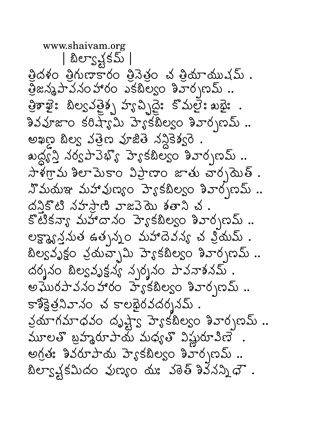www.shaivam.org | బిల్యాక్షకమ్ | త్రిదళం త్రిగుణాకారం త్రివెత్రం చ త్రియాయుషమ్ . త్రిజన్మపావనంహారం ఎకబిల్వం శివార్పణమ్ .. త్రికాఖైః బిల్యవత్రైశ్స్త ప్యాచ్స్టిండ్ కొమలైః ఖజైః . శివవూజాం కరిష్యామి హె్కటిల్వం శివార్పణమ్ .. అఖణ బిల్య వత్తెణ వూజితె నన్ధికెశ్వరె . ఖద్ధ్య నర్వపావెభ్యొ హె్టకటిల్యం శివార్సణమ్ ..  $\pi$ ళ్లాను శిలామెకాం విప్రాణాం జాతు చార్చమెత్.  $X$ మయఞ మహావుణ్యం హె $s$ కబిల్యం శివార్సణమ్.. దనికొటి నహస్టాణి వాజవెదు శతాని చ. కొటికన్యా మహాదానం హెౄకబిల్వం శివార్చణమ్ .. లక్ష్యాన్తనుత ఉత్పన్నం మహాదెవన్య చ ప్రియమ్ . బిల్యవృక్షం వ్రయమ్స్టేమి హెకకబిల్యం శివార్పణమ్.. దర్శనం బిల్వవృక్షన్య న్పర్శనం పావనాశనమ్ . అఘొరపావనంహారం హెకకబిల్వం శివార్చణమ్.. కాశీక్షెత్రనివానం చ కాలభైరవదర్శనమ్ . వ్రయాగమాధవం దృష్ణాక్ట హెక్టిల్యం శివార్పణమ్ .. మూలతొ బ్రహ్మరూపాయ్ మధ్యతొ విష్ణురూవిణె .  $\omega$ గ్రత: శివరూపాదు హె $s$ కబిల్వం శివార్భణమ్.. బిల్వాళ్లకమీదం వుణ్యం మః వరెత్ శివేనన్నిధౌ.